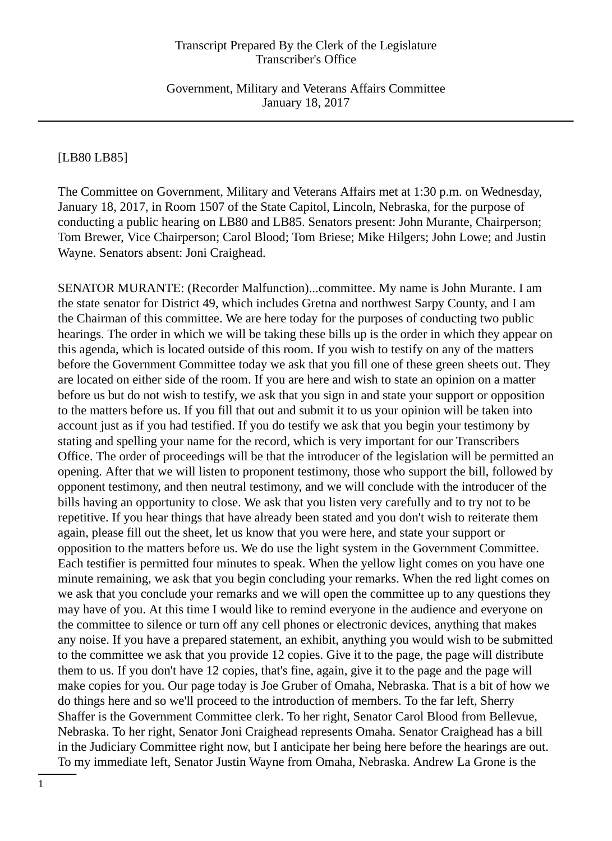Government, Military and Veterans Affairs Committee January 18, 2017

## [LB80 LB85]

The Committee on Government, Military and Veterans Affairs met at 1:30 p.m. on Wednesday, January 18, 2017, in Room 1507 of the State Capitol, Lincoln, Nebraska, for the purpose of conducting a public hearing on LB80 and LB85. Senators present: John Murante, Chairperson; Tom Brewer, Vice Chairperson; Carol Blood; Tom Briese; Mike Hilgers; John Lowe; and Justin Wayne. Senators absent: Joni Craighead.

SENATOR MURANTE: (Recorder Malfunction)...committee. My name is John Murante. I am the state senator for District 49, which includes Gretna and northwest Sarpy County, and I am the Chairman of this committee. We are here today for the purposes of conducting two public hearings. The order in which we will be taking these bills up is the order in which they appear on this agenda, which is located outside of this room. If you wish to testify on any of the matters before the Government Committee today we ask that you fill one of these green sheets out. They are located on either side of the room. If you are here and wish to state an opinion on a matter before us but do not wish to testify, we ask that you sign in and state your support or opposition to the matters before us. If you fill that out and submit it to us your opinion will be taken into account just as if you had testified. If you do testify we ask that you begin your testimony by stating and spelling your name for the record, which is very important for our Transcribers Office. The order of proceedings will be that the introducer of the legislation will be permitted an opening. After that we will listen to proponent testimony, those who support the bill, followed by opponent testimony, and then neutral testimony, and we will conclude with the introducer of the bills having an opportunity to close. We ask that you listen very carefully and to try not to be repetitive. If you hear things that have already been stated and you don't wish to reiterate them again, please fill out the sheet, let us know that you were here, and state your support or opposition to the matters before us. We do use the light system in the Government Committee. Each testifier is permitted four minutes to speak. When the yellow light comes on you have one minute remaining, we ask that you begin concluding your remarks. When the red light comes on we ask that you conclude your remarks and we will open the committee up to any questions they may have of you. At this time I would like to remind everyone in the audience and everyone on the committee to silence or turn off any cell phones or electronic devices, anything that makes any noise. If you have a prepared statement, an exhibit, anything you would wish to be submitted to the committee we ask that you provide 12 copies. Give it to the page, the page will distribute them to us. If you don't have 12 copies, that's fine, again, give it to the page and the page will make copies for you. Our page today is Joe Gruber of Omaha, Nebraska. That is a bit of how we do things here and so we'll proceed to the introduction of members. To the far left, Sherry Shaffer is the Government Committee clerk. To her right, Senator Carol Blood from Bellevue, Nebraska. To her right, Senator Joni Craighead represents Omaha. Senator Craighead has a bill in the Judiciary Committee right now, but I anticipate her being here before the hearings are out. To my immediate left, Senator Justin Wayne from Omaha, Nebraska. Andrew La Grone is the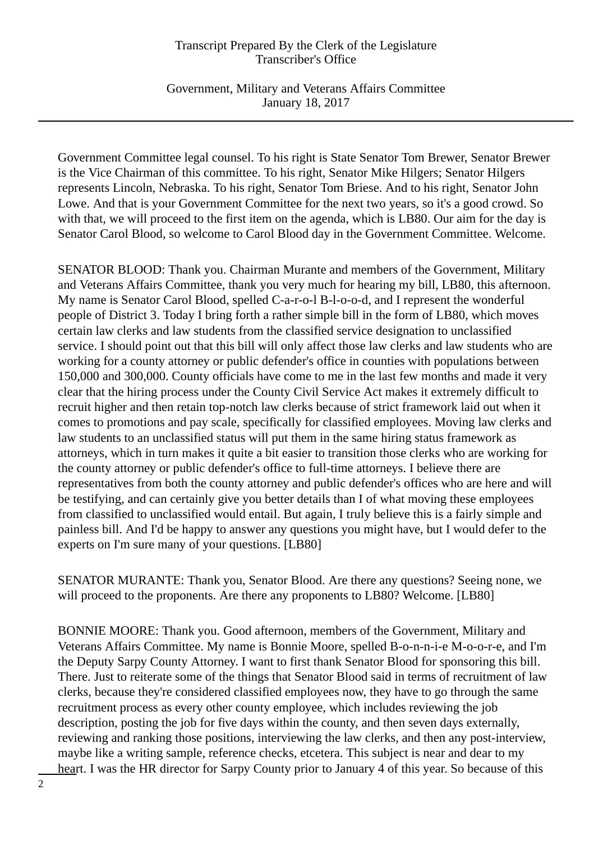Government, Military and Veterans Affairs Committee January 18, 2017

Government Committee legal counsel. To his right is State Senator Tom Brewer, Senator Brewer is the Vice Chairman of this committee. To his right, Senator Mike Hilgers; Senator Hilgers represents Lincoln, Nebraska. To his right, Senator Tom Briese. And to his right, Senator John Lowe. And that is your Government Committee for the next two years, so it's a good crowd. So with that, we will proceed to the first item on the agenda, which is LB80. Our aim for the day is Senator Carol Blood, so welcome to Carol Blood day in the Government Committee. Welcome.

SENATOR BLOOD: Thank you. Chairman Murante and members of the Government, Military and Veterans Affairs Committee, thank you very much for hearing my bill, LB80, this afternoon. My name is Senator Carol Blood, spelled C-a-r-o-l B-l-o-o-d, and I represent the wonderful people of District 3. Today I bring forth a rather simple bill in the form of LB80, which moves certain law clerks and law students from the classified service designation to unclassified service. I should point out that this bill will only affect those law clerks and law students who are working for a county attorney or public defender's office in counties with populations between 150,000 and 300,000. County officials have come to me in the last few months and made it very clear that the hiring process under the County Civil Service Act makes it extremely difficult to recruit higher and then retain top-notch law clerks because of strict framework laid out when it comes to promotions and pay scale, specifically for classified employees. Moving law clerks and law students to an unclassified status will put them in the same hiring status framework as attorneys, which in turn makes it quite a bit easier to transition those clerks who are working for the county attorney or public defender's office to full-time attorneys. I believe there are representatives from both the county attorney and public defender's offices who are here and will be testifying, and can certainly give you better details than I of what moving these employees from classified to unclassified would entail. But again, I truly believe this is a fairly simple and painless bill. And I'd be happy to answer any questions you might have, but I would defer to the experts on I'm sure many of your questions. [LB80]

SENATOR MURANTE: Thank you, Senator Blood. Are there any questions? Seeing none, we will proceed to the proponents. Are there any proponents to LB80? Welcome. [LB80]

BONNIE MOORE: Thank you. Good afternoon, members of the Government, Military and Veterans Affairs Committee. My name is Bonnie Moore, spelled B-o-n-n-i-e M-o-o-r-e, and I'm the Deputy Sarpy County Attorney. I want to first thank Senator Blood for sponsoring this bill. There. Just to reiterate some of the things that Senator Blood said in terms of recruitment of law clerks, because they're considered classified employees now, they have to go through the same recruitment process as every other county employee, which includes reviewing the job description, posting the job for five days within the county, and then seven days externally, reviewing and ranking those positions, interviewing the law clerks, and then any post-interview, maybe like a writing sample, reference checks, etcetera. This subject is near and dear to my heart. I was the HR director for Sarpy County prior to January 4 of this year. So because of this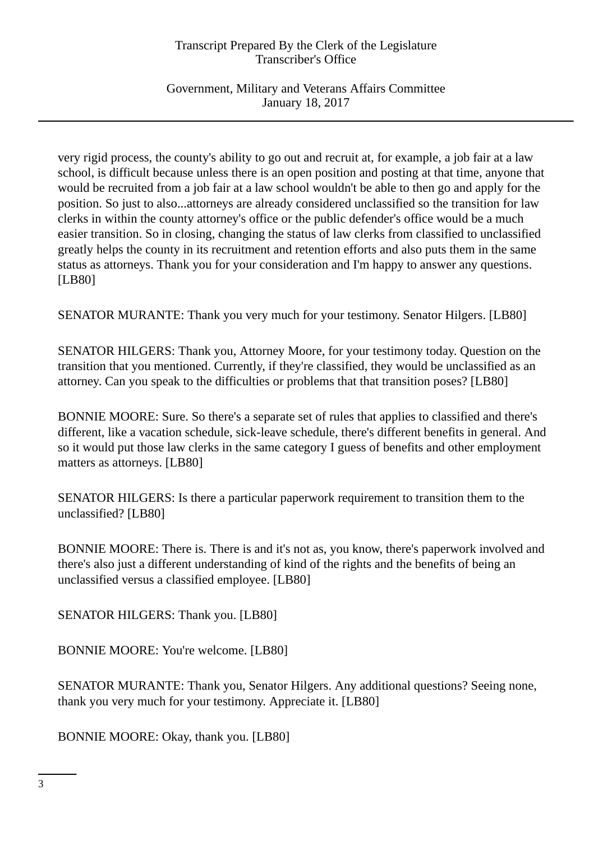Government, Military and Veterans Affairs Committee January 18, 2017

very rigid process, the county's ability to go out and recruit at, for example, a job fair at a law school, is difficult because unless there is an open position and posting at that time, anyone that would be recruited from a job fair at a law school wouldn't be able to then go and apply for the position. So just to also...attorneys are already considered unclassified so the transition for law clerks in within the county attorney's office or the public defender's office would be a much easier transition. So in closing, changing the status of law clerks from classified to unclassified greatly helps the county in its recruitment and retention efforts and also puts them in the same status as attorneys. Thank you for your consideration and I'm happy to answer any questions. [LB80]

SENATOR MURANTE: Thank you very much for your testimony. Senator Hilgers. [LB80]

SENATOR HILGERS: Thank you, Attorney Moore, for your testimony today. Question on the transition that you mentioned. Currently, if they're classified, they would be unclassified as an attorney. Can you speak to the difficulties or problems that that transition poses? [LB80]

BONNIE MOORE: Sure. So there's a separate set of rules that applies to classified and there's different, like a vacation schedule, sick-leave schedule, there's different benefits in general. And so it would put those law clerks in the same category I guess of benefits and other employment matters as attorneys. [LB80]

SENATOR HILGERS: Is there a particular paperwork requirement to transition them to the unclassified? [LB80]

BONNIE MOORE: There is. There is and it's not as, you know, there's paperwork involved and there's also just a different understanding of kind of the rights and the benefits of being an unclassified versus a classified employee. [LB80]

SENATOR HILGERS: Thank you. [LB80]

BONNIE MOORE: You're welcome. [LB80]

SENATOR MURANTE: Thank you, Senator Hilgers. Any additional questions? Seeing none, thank you very much for your testimony. Appreciate it. [LB80]

BONNIE MOORE: Okay, thank you. [LB80]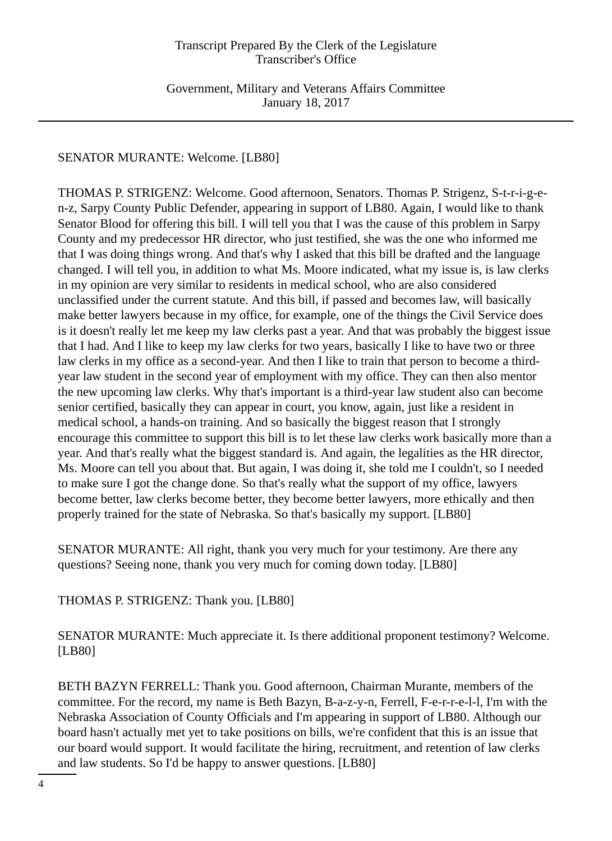Government, Military and Veterans Affairs Committee January 18, 2017

# SENATOR MURANTE: Welcome. [LB80]

THOMAS P. STRIGENZ: Welcome. Good afternoon, Senators. Thomas P. Strigenz, S-t-r-i-g-en-z, Sarpy County Public Defender, appearing in support of LB80. Again, I would like to thank Senator Blood for offering this bill. I will tell you that I was the cause of this problem in Sarpy County and my predecessor HR director, who just testified, she was the one who informed me that I was doing things wrong. And that's why I asked that this bill be drafted and the language changed. I will tell you, in addition to what Ms. Moore indicated, what my issue is, is law clerks in my opinion are very similar to residents in medical school, who are also considered unclassified under the current statute. And this bill, if passed and becomes law, will basically make better lawyers because in my office, for example, one of the things the Civil Service does is it doesn't really let me keep my law clerks past a year. And that was probably the biggest issue that I had. And I like to keep my law clerks for two years, basically I like to have two or three law clerks in my office as a second-year. And then I like to train that person to become a thirdyear law student in the second year of employment with my office. They can then also mentor the new upcoming law clerks. Why that's important is a third-year law student also can become senior certified, basically they can appear in court, you know, again, just like a resident in medical school, a hands-on training. And so basically the biggest reason that I strongly encourage this committee to support this bill is to let these law clerks work basically more than a year. And that's really what the biggest standard is. And again, the legalities as the HR director, Ms. Moore can tell you about that. But again, I was doing it, she told me I couldn't, so I needed to make sure I got the change done. So that's really what the support of my office, lawyers become better, law clerks become better, they become better lawyers, more ethically and then properly trained for the state of Nebraska. So that's basically my support. [LB80]

SENATOR MURANTE: All right, thank you very much for your testimony. Are there any questions? Seeing none, thank you very much for coming down today. [LB80]

THOMAS P. STRIGENZ: Thank you. [LB80]

SENATOR MURANTE: Much appreciate it. Is there additional proponent testimony? Welcome. [LB80]

BETH BAZYN FERRELL: Thank you. Good afternoon, Chairman Murante, members of the committee. For the record, my name is Beth Bazyn, B-a-z-y-n, Ferrell, F-e-r-r-e-l-l, I'm with the Nebraska Association of County Officials and I'm appearing in support of LB80. Although our board hasn't actually met yet to take positions on bills, we're confident that this is an issue that our board would support. It would facilitate the hiring, recruitment, and retention of law clerks and law students. So I'd be happy to answer questions. [LB80]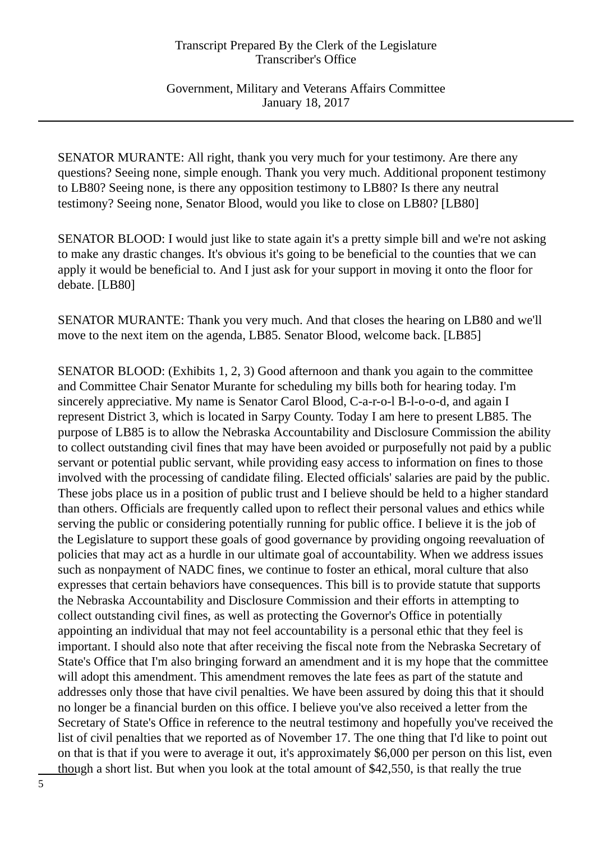Government, Military and Veterans Affairs Committee January 18, 2017

SENATOR MURANTE: All right, thank you very much for your testimony. Are there any questions? Seeing none, simple enough. Thank you very much. Additional proponent testimony to LB80? Seeing none, is there any opposition testimony to LB80? Is there any neutral testimony? Seeing none, Senator Blood, would you like to close on LB80? [LB80]

SENATOR BLOOD: I would just like to state again it's a pretty simple bill and we're not asking to make any drastic changes. It's obvious it's going to be beneficial to the counties that we can apply it would be beneficial to. And I just ask for your support in moving it onto the floor for debate. [LB80]

SENATOR MURANTE: Thank you very much. And that closes the hearing on LB80 and we'll move to the next item on the agenda, LB85. Senator Blood, welcome back. [LB85]

SENATOR BLOOD: (Exhibits 1, 2, 3) Good afternoon and thank you again to the committee and Committee Chair Senator Murante for scheduling my bills both for hearing today. I'm sincerely appreciative. My name is Senator Carol Blood, C-a-r-o-l B-l-o-o-d, and again I represent District 3, which is located in Sarpy County. Today I am here to present LB85. The purpose of LB85 is to allow the Nebraska Accountability and Disclosure Commission the ability to collect outstanding civil fines that may have been avoided or purposefully not paid by a public servant or potential public servant, while providing easy access to information on fines to those involved with the processing of candidate filing. Elected officials' salaries are paid by the public. These jobs place us in a position of public trust and I believe should be held to a higher standard than others. Officials are frequently called upon to reflect their personal values and ethics while serving the public or considering potentially running for public office. I believe it is the job of the Legislature to support these goals of good governance by providing ongoing reevaluation of policies that may act as a hurdle in our ultimate goal of accountability. When we address issues such as nonpayment of NADC fines, we continue to foster an ethical, moral culture that also expresses that certain behaviors have consequences. This bill is to provide statute that supports the Nebraska Accountability and Disclosure Commission and their efforts in attempting to collect outstanding civil fines, as well as protecting the Governor's Office in potentially appointing an individual that may not feel accountability is a personal ethic that they feel is important. I should also note that after receiving the fiscal note from the Nebraska Secretary of State's Office that I'm also bringing forward an amendment and it is my hope that the committee will adopt this amendment. This amendment removes the late fees as part of the statute and addresses only those that have civil penalties. We have been assured by doing this that it should no longer be a financial burden on this office. I believe you've also received a letter from the Secretary of State's Office in reference to the neutral testimony and hopefully you've received the list of civil penalties that we reported as of November 17. The one thing that I'd like to point out on that is that if you were to average it out, it's approximately \$6,000 per person on this list, even though a short list. But when you look at the total amount of \$42,550, is that really the true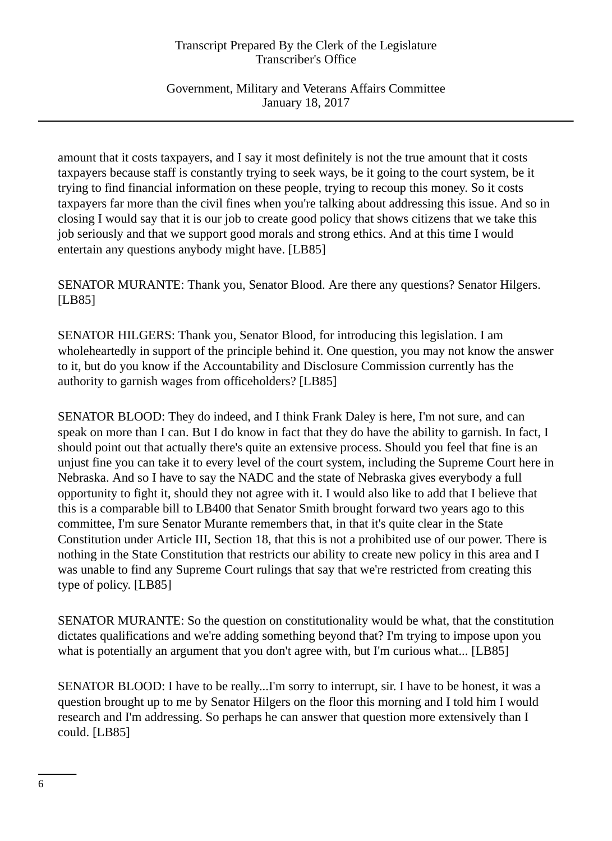Government, Military and Veterans Affairs Committee January 18, 2017

amount that it costs taxpayers, and I say it most definitely is not the true amount that it costs taxpayers because staff is constantly trying to seek ways, be it going to the court system, be it trying to find financial information on these people, trying to recoup this money. So it costs taxpayers far more than the civil fines when you're talking about addressing this issue. And so in closing I would say that it is our job to create good policy that shows citizens that we take this job seriously and that we support good morals and strong ethics. And at this time I would entertain any questions anybody might have. [LB85]

SENATOR MURANTE: Thank you, Senator Blood. Are there any questions? Senator Hilgers. [LB85]

SENATOR HILGERS: Thank you, Senator Blood, for introducing this legislation. I am wholeheartedly in support of the principle behind it. One question, you may not know the answer to it, but do you know if the Accountability and Disclosure Commission currently has the authority to garnish wages from officeholders? [LB85]

SENATOR BLOOD: They do indeed, and I think Frank Daley is here, I'm not sure, and can speak on more than I can. But I do know in fact that they do have the ability to garnish. In fact, I should point out that actually there's quite an extensive process. Should you feel that fine is an unjust fine you can take it to every level of the court system, including the Supreme Court here in Nebraska. And so I have to say the NADC and the state of Nebraska gives everybody a full opportunity to fight it, should they not agree with it. I would also like to add that I believe that this is a comparable bill to LB400 that Senator Smith brought forward two years ago to this committee, I'm sure Senator Murante remembers that, in that it's quite clear in the State Constitution under Article III, Section 18, that this is not a prohibited use of our power. There is nothing in the State Constitution that restricts our ability to create new policy in this area and I was unable to find any Supreme Court rulings that say that we're restricted from creating this type of policy. [LB85]

SENATOR MURANTE: So the question on constitutionality would be what, that the constitution dictates qualifications and we're adding something beyond that? I'm trying to impose upon you what is potentially an argument that you don't agree with, but I'm curious what... [LB85]

SENATOR BLOOD: I have to be really...I'm sorry to interrupt, sir. I have to be honest, it was a question brought up to me by Senator Hilgers on the floor this morning and I told him I would research and I'm addressing. So perhaps he can answer that question more extensively than I could. [LB85]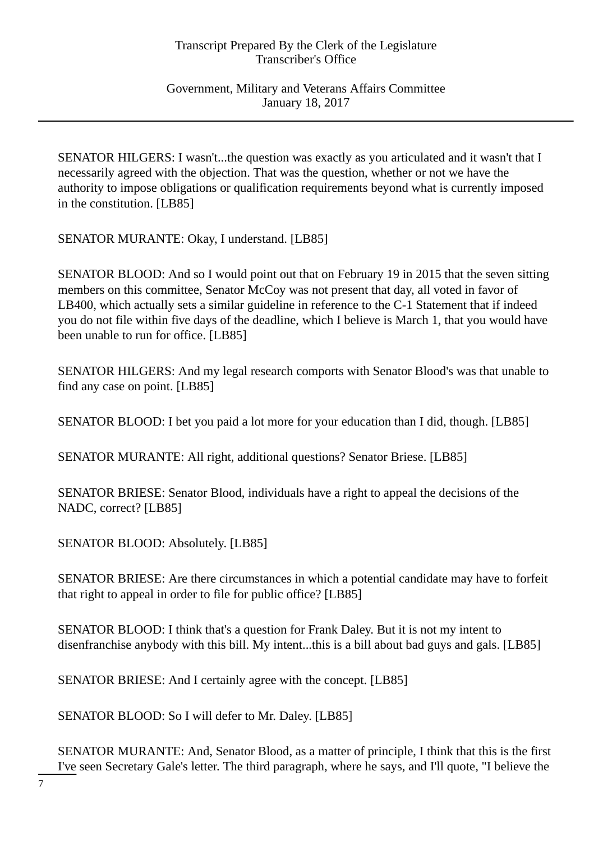Government, Military and Veterans Affairs Committee January 18, 2017

SENATOR HILGERS: I wasn't...the question was exactly as you articulated and it wasn't that I necessarily agreed with the objection. That was the question, whether or not we have the authority to impose obligations or qualification requirements beyond what is currently imposed in the constitution. [LB85]

SENATOR MURANTE: Okay, I understand. [LB85]

SENATOR BLOOD: And so I would point out that on February 19 in 2015 that the seven sitting members on this committee, Senator McCoy was not present that day, all voted in favor of LB400, which actually sets a similar guideline in reference to the C-1 Statement that if indeed you do not file within five days of the deadline, which I believe is March 1, that you would have been unable to run for office. [LB85]

SENATOR HILGERS: And my legal research comports with Senator Blood's was that unable to find any case on point. [LB85]

SENATOR BLOOD: I bet you paid a lot more for your education than I did, though. [LB85]

SENATOR MURANTE: All right, additional questions? Senator Briese. [LB85]

SENATOR BRIESE: Senator Blood, individuals have a right to appeal the decisions of the NADC, correct? [LB85]

SENATOR BLOOD: Absolutely. [LB85]

SENATOR BRIESE: Are there circumstances in which a potential candidate may have to forfeit that right to appeal in order to file for public office? [LB85]

SENATOR BLOOD: I think that's a question for Frank Daley. But it is not my intent to disenfranchise anybody with this bill. My intent...this is a bill about bad guys and gals. [LB85]

SENATOR BRIESE: And I certainly agree with the concept. [LB85]

SENATOR BLOOD: So I will defer to Mr. Daley. [LB85]

SENATOR MURANTE: And, Senator Blood, as a matter of principle, I think that this is the first I've seen Secretary Gale's letter. The third paragraph, where he says, and I'll quote, "I believe the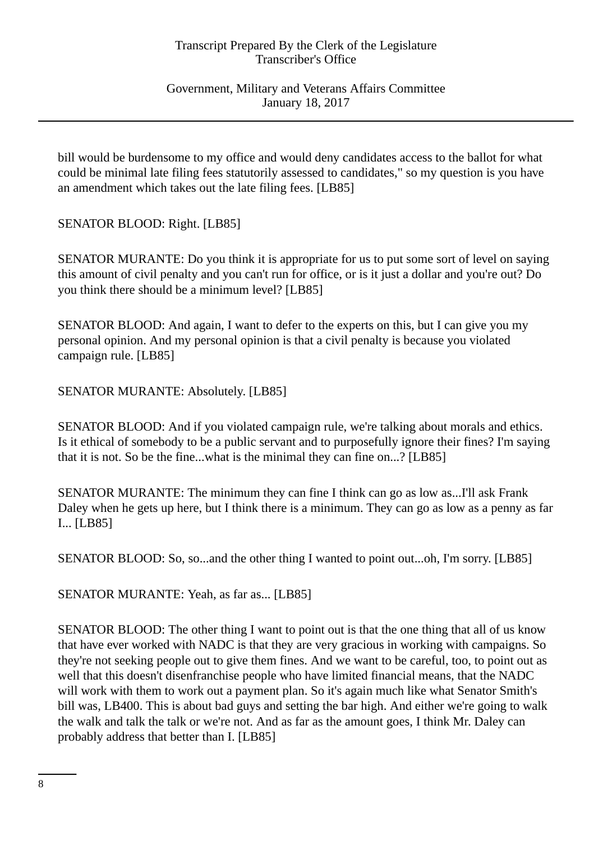Government, Military and Veterans Affairs Committee January 18, 2017

bill would be burdensome to my office and would deny candidates access to the ballot for what could be minimal late filing fees statutorily assessed to candidates," so my question is you have an amendment which takes out the late filing fees. [LB85]

SENATOR BLOOD: Right. [LB85]

SENATOR MURANTE: Do you think it is appropriate for us to put some sort of level on saying this amount of civil penalty and you can't run for office, or is it just a dollar and you're out? Do you think there should be a minimum level? [LB85]

SENATOR BLOOD: And again, I want to defer to the experts on this, but I can give you my personal opinion. And my personal opinion is that a civil penalty is because you violated campaign rule. [LB85]

SENATOR MURANTE: Absolutely. [LB85]

SENATOR BLOOD: And if you violated campaign rule, we're talking about morals and ethics. Is it ethical of somebody to be a public servant and to purposefully ignore their fines? I'm saying that it is not. So be the fine...what is the minimal they can fine on...? [LB85]

SENATOR MURANTE: The minimum they can fine I think can go as low as...I'll ask Frank Daley when he gets up here, but I think there is a minimum. They can go as low as a penny as far I... [LB85]

SENATOR BLOOD: So, so...and the other thing I wanted to point out...oh, I'm sorry. [LB85]

SENATOR MURANTE: Yeah, as far as... [LB85]

SENATOR BLOOD: The other thing I want to point out is that the one thing that all of us know that have ever worked with NADC is that they are very gracious in working with campaigns. So they're not seeking people out to give them fines. And we want to be careful, too, to point out as well that this doesn't disenfranchise people who have limited financial means, that the NADC will work with them to work out a payment plan. So it's again much like what Senator Smith's bill was, LB400. This is about bad guys and setting the bar high. And either we're going to walk the walk and talk the talk or we're not. And as far as the amount goes, I think Mr. Daley can probably address that better than I. [LB85]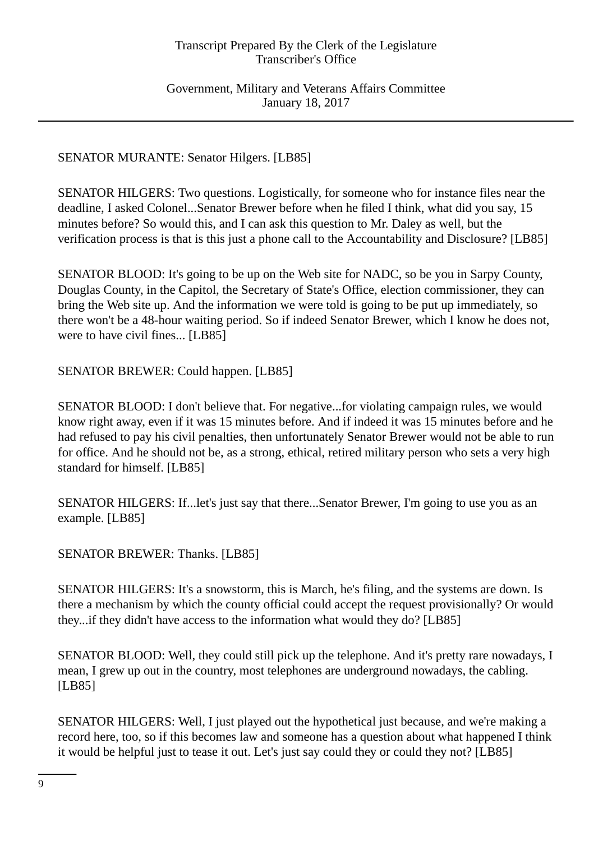Government, Military and Veterans Affairs Committee January 18, 2017

# SENATOR MURANTE: Senator Hilgers. [LB85]

SENATOR HILGERS: Two questions. Logistically, for someone who for instance files near the deadline, I asked Colonel...Senator Brewer before when he filed I think, what did you say, 15 minutes before? So would this, and I can ask this question to Mr. Daley as well, but the verification process is that is this just a phone call to the Accountability and Disclosure? [LB85]

SENATOR BLOOD: It's going to be up on the Web site for NADC, so be you in Sarpy County, Douglas County, in the Capitol, the Secretary of State's Office, election commissioner, they can bring the Web site up. And the information we were told is going to be put up immediately, so there won't be a 48-hour waiting period. So if indeed Senator Brewer, which I know he does not, were to have civil fines... [LB85]

SENATOR BREWER: Could happen. [LB85]

SENATOR BLOOD: I don't believe that. For negative...for violating campaign rules, we would know right away, even if it was 15 minutes before. And if indeed it was 15 minutes before and he had refused to pay his civil penalties, then unfortunately Senator Brewer would not be able to run for office. And he should not be, as a strong, ethical, retired military person who sets a very high standard for himself. [LB85]

SENATOR HILGERS: If...let's just say that there...Senator Brewer, I'm going to use you as an example. [LB85]

# SENATOR BREWER: Thanks. [LB85]

SENATOR HILGERS: It's a snowstorm, this is March, he's filing, and the systems are down. Is there a mechanism by which the county official could accept the request provisionally? Or would they...if they didn't have access to the information what would they do? [LB85]

SENATOR BLOOD: Well, they could still pick up the telephone. And it's pretty rare nowadays, I mean, I grew up out in the country, most telephones are underground nowadays, the cabling. [LB85]

SENATOR HILGERS: Well, I just played out the hypothetical just because, and we're making a record here, too, so if this becomes law and someone has a question about what happened I think it would be helpful just to tease it out. Let's just say could they or could they not? [LB85]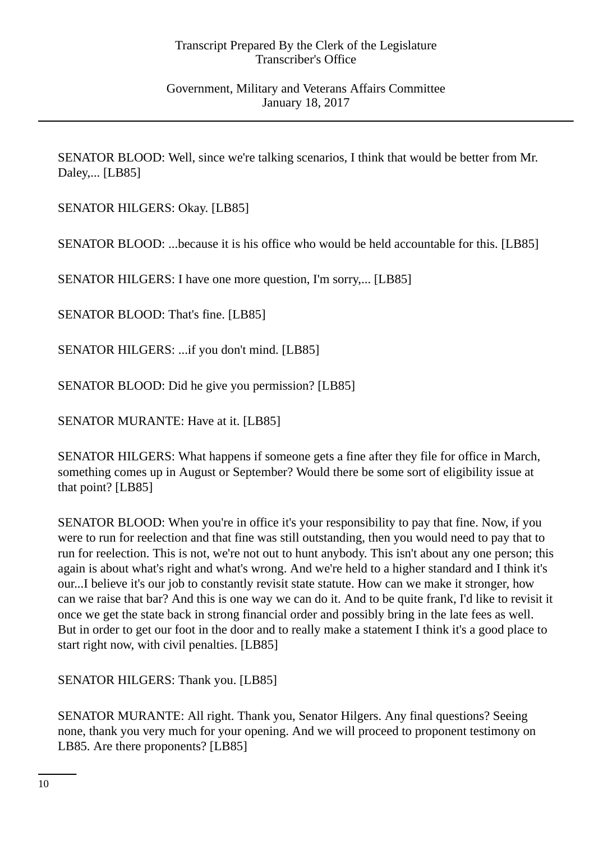Government, Military and Veterans Affairs Committee January 18, 2017

SENATOR BLOOD: Well, since we're talking scenarios, I think that would be better from Mr. Daley,... [LB85]

SENATOR HILGERS: Okay. [LB85]

SENATOR BLOOD: ...because it is his office who would be held accountable for this. [LB85]

SENATOR HILGERS: I have one more question, I'm sorry,... [LB85]

SENATOR BLOOD: That's fine. [LB85]

SENATOR HILGERS: ...if you don't mind. [LB85]

SENATOR BLOOD: Did he give you permission? [LB85]

SENATOR MURANTE: Have at it. [LB85]

SENATOR HILGERS: What happens if someone gets a fine after they file for office in March, something comes up in August or September? Would there be some sort of eligibility issue at that point? [LB85]

SENATOR BLOOD: When you're in office it's your responsibility to pay that fine. Now, if you were to run for reelection and that fine was still outstanding, then you would need to pay that to run for reelection. This is not, we're not out to hunt anybody. This isn't about any one person; this again is about what's right and what's wrong. And we're held to a higher standard and I think it's our...I believe it's our job to constantly revisit state statute. How can we make it stronger, how can we raise that bar? And this is one way we can do it. And to be quite frank, I'd like to revisit it once we get the state back in strong financial order and possibly bring in the late fees as well. But in order to get our foot in the door and to really make a statement I think it's a good place to start right now, with civil penalties. [LB85]

SENATOR HILGERS: Thank you. [LB85]

SENATOR MURANTE: All right. Thank you, Senator Hilgers. Any final questions? Seeing none, thank you very much for your opening. And we will proceed to proponent testimony on LB85. Are there proponents? [LB85]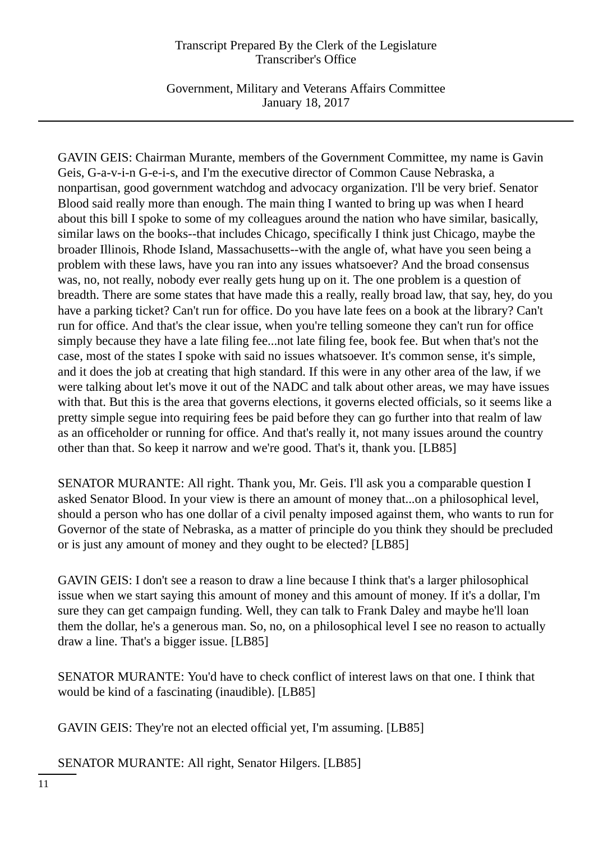Government, Military and Veterans Affairs Committee January 18, 2017

GAVIN GEIS: Chairman Murante, members of the Government Committee, my name is Gavin Geis, G-a-v-i-n G-e-i-s, and I'm the executive director of Common Cause Nebraska, a nonpartisan, good government watchdog and advocacy organization. I'll be very brief. Senator Blood said really more than enough. The main thing I wanted to bring up was when I heard about this bill I spoke to some of my colleagues around the nation who have similar, basically, similar laws on the books--that includes Chicago, specifically I think just Chicago, maybe the broader Illinois, Rhode Island, Massachusetts--with the angle of, what have you seen being a problem with these laws, have you ran into any issues whatsoever? And the broad consensus was, no, not really, nobody ever really gets hung up on it. The one problem is a question of breadth. There are some states that have made this a really, really broad law, that say, hey, do you have a parking ticket? Can't run for office. Do you have late fees on a book at the library? Can't run for office. And that's the clear issue, when you're telling someone they can't run for office simply because they have a late filing fee...not late filing fee, book fee. But when that's not the case, most of the states I spoke with said no issues whatsoever. It's common sense, it's simple, and it does the job at creating that high standard. If this were in any other area of the law, if we were talking about let's move it out of the NADC and talk about other areas, we may have issues with that. But this is the area that governs elections, it governs elected officials, so it seems like a pretty simple segue into requiring fees be paid before they can go further into that realm of law as an officeholder or running for office. And that's really it, not many issues around the country other than that. So keep it narrow and we're good. That's it, thank you. [LB85]

SENATOR MURANTE: All right. Thank you, Mr. Geis. I'll ask you a comparable question I asked Senator Blood. In your view is there an amount of money that...on a philosophical level, should a person who has one dollar of a civil penalty imposed against them, who wants to run for Governor of the state of Nebraska, as a matter of principle do you think they should be precluded or is just any amount of money and they ought to be elected? [LB85]

GAVIN GEIS: I don't see a reason to draw a line because I think that's a larger philosophical issue when we start saying this amount of money and this amount of money. If it's a dollar, I'm sure they can get campaign funding. Well, they can talk to Frank Daley and maybe he'll loan them the dollar, he's a generous man. So, no, on a philosophical level I see no reason to actually draw a line. That's a bigger issue. [LB85]

SENATOR MURANTE: You'd have to check conflict of interest laws on that one. I think that would be kind of a fascinating (inaudible). [LB85]

GAVIN GEIS: They're not an elected official yet, I'm assuming. [LB85]

SENATOR MURANTE: All right, Senator Hilgers. [LB85]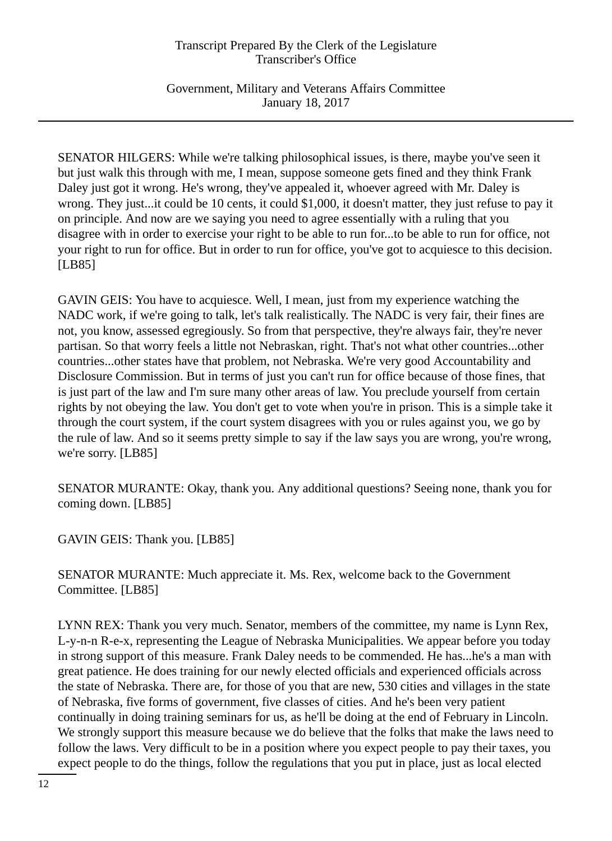Government, Military and Veterans Affairs Committee January 18, 2017

SENATOR HILGERS: While we're talking philosophical issues, is there, maybe you've seen it but just walk this through with me, I mean, suppose someone gets fined and they think Frank Daley just got it wrong. He's wrong, they've appealed it, whoever agreed with Mr. Daley is wrong. They just...it could be 10 cents, it could \$1,000, it doesn't matter, they just refuse to pay it on principle. And now are we saying you need to agree essentially with a ruling that you disagree with in order to exercise your right to be able to run for...to be able to run for office, not your right to run for office. But in order to run for office, you've got to acquiesce to this decision. [LB85]

GAVIN GEIS: You have to acquiesce. Well, I mean, just from my experience watching the NADC work, if we're going to talk, let's talk realistically. The NADC is very fair, their fines are not, you know, assessed egregiously. So from that perspective, they're always fair, they're never partisan. So that worry feels a little not Nebraskan, right. That's not what other countries...other countries...other states have that problem, not Nebraska. We're very good Accountability and Disclosure Commission. But in terms of just you can't run for office because of those fines, that is just part of the law and I'm sure many other areas of law. You preclude yourself from certain rights by not obeying the law. You don't get to vote when you're in prison. This is a simple take it through the court system, if the court system disagrees with you or rules against you, we go by the rule of law. And so it seems pretty simple to say if the law says you are wrong, you're wrong, we're sorry. [LB85]

SENATOR MURANTE: Okay, thank you. Any additional questions? Seeing none, thank you for coming down. [LB85]

GAVIN GEIS: Thank you. [LB85]

SENATOR MURANTE: Much appreciate it. Ms. Rex, welcome back to the Government Committee. [LB85]

LYNN REX: Thank you very much. Senator, members of the committee, my name is Lynn Rex, L-y-n-n R-e-x, representing the League of Nebraska Municipalities. We appear before you today in strong support of this measure. Frank Daley needs to be commended. He has...he's a man with great patience. He does training for our newly elected officials and experienced officials across the state of Nebraska. There are, for those of you that are new, 530 cities and villages in the state of Nebraska, five forms of government, five classes of cities. And he's been very patient continually in doing training seminars for us, as he'll be doing at the end of February in Lincoln. We strongly support this measure because we do believe that the folks that make the laws need to follow the laws. Very difficult to be in a position where you expect people to pay their taxes, you expect people to do the things, follow the regulations that you put in place, just as local elected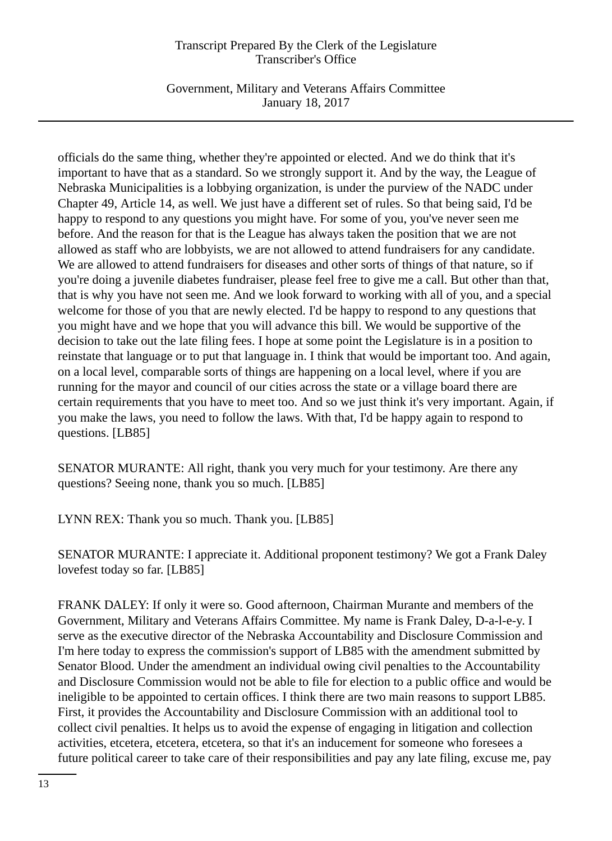Government, Military and Veterans Affairs Committee January 18, 2017

officials do the same thing, whether they're appointed or elected. And we do think that it's important to have that as a standard. So we strongly support it. And by the way, the League of Nebraska Municipalities is a lobbying organization, is under the purview of the NADC under Chapter 49, Article 14, as well. We just have a different set of rules. So that being said, I'd be happy to respond to any questions you might have. For some of you, you've never seen me before. And the reason for that is the League has always taken the position that we are not allowed as staff who are lobbyists, we are not allowed to attend fundraisers for any candidate. We are allowed to attend fundraisers for diseases and other sorts of things of that nature, so if you're doing a juvenile diabetes fundraiser, please feel free to give me a call. But other than that, that is why you have not seen me. And we look forward to working with all of you, and a special welcome for those of you that are newly elected. I'd be happy to respond to any questions that you might have and we hope that you will advance this bill. We would be supportive of the decision to take out the late filing fees. I hope at some point the Legislature is in a position to reinstate that language or to put that language in. I think that would be important too. And again, on a local level, comparable sorts of things are happening on a local level, where if you are running for the mayor and council of our cities across the state or a village board there are certain requirements that you have to meet too. And so we just think it's very important. Again, if you make the laws, you need to follow the laws. With that, I'd be happy again to respond to questions. [LB85]

SENATOR MURANTE: All right, thank you very much for your testimony. Are there any questions? Seeing none, thank you so much. [LB85]

LYNN REX: Thank you so much. Thank you. [LB85]

SENATOR MURANTE: I appreciate it. Additional proponent testimony? We got a Frank Daley lovefest today so far. [LB85]

FRANK DALEY: If only it were so. Good afternoon, Chairman Murante and members of the Government, Military and Veterans Affairs Committee. My name is Frank Daley, D-a-l-e-y. I serve as the executive director of the Nebraska Accountability and Disclosure Commission and I'm here today to express the commission's support of LB85 with the amendment submitted by Senator Blood. Under the amendment an individual owing civil penalties to the Accountability and Disclosure Commission would not be able to file for election to a public office and would be ineligible to be appointed to certain offices. I think there are two main reasons to support LB85. First, it provides the Accountability and Disclosure Commission with an additional tool to collect civil penalties. It helps us to avoid the expense of engaging in litigation and collection activities, etcetera, etcetera, etcetera, so that it's an inducement for someone who foresees a future political career to take care of their responsibilities and pay any late filing, excuse me, pay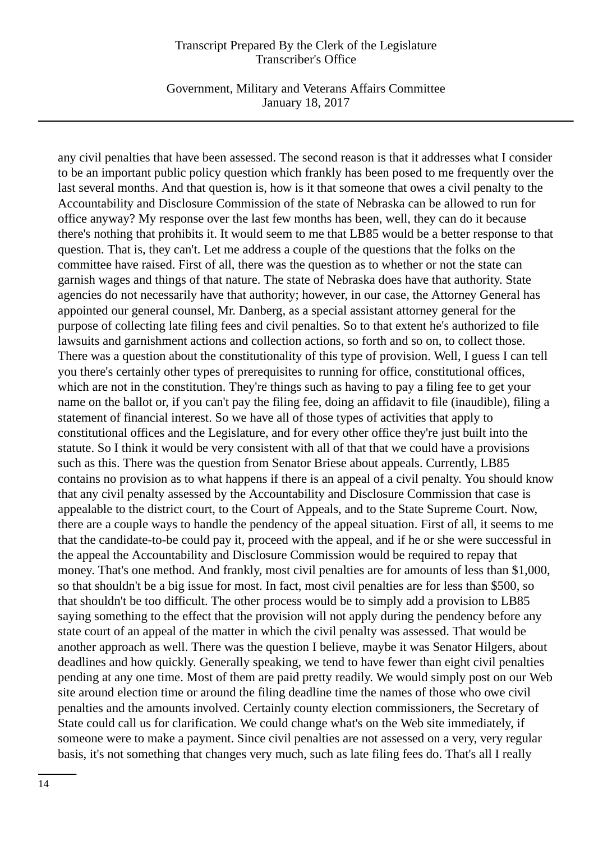Government, Military and Veterans Affairs Committee January 18, 2017

any civil penalties that have been assessed. The second reason is that it addresses what I consider to be an important public policy question which frankly has been posed to me frequently over the last several months. And that question is, how is it that someone that owes a civil penalty to the Accountability and Disclosure Commission of the state of Nebraska can be allowed to run for office anyway? My response over the last few months has been, well, they can do it because there's nothing that prohibits it. It would seem to me that LB85 would be a better response to that question. That is, they can't. Let me address a couple of the questions that the folks on the committee have raised. First of all, there was the question as to whether or not the state can garnish wages and things of that nature. The state of Nebraska does have that authority. State agencies do not necessarily have that authority; however, in our case, the Attorney General has appointed our general counsel, Mr. Danberg, as a special assistant attorney general for the purpose of collecting late filing fees and civil penalties. So to that extent he's authorized to file lawsuits and garnishment actions and collection actions, so forth and so on, to collect those. There was a question about the constitutionality of this type of provision. Well, I guess I can tell you there's certainly other types of prerequisites to running for office, constitutional offices, which are not in the constitution. They're things such as having to pay a filing fee to get your name on the ballot or, if you can't pay the filing fee, doing an affidavit to file (inaudible), filing a statement of financial interest. So we have all of those types of activities that apply to constitutional offices and the Legislature, and for every other office they're just built into the statute. So I think it would be very consistent with all of that that we could have a provisions such as this. There was the question from Senator Briese about appeals. Currently, LB85 contains no provision as to what happens if there is an appeal of a civil penalty. You should know that any civil penalty assessed by the Accountability and Disclosure Commission that case is appealable to the district court, to the Court of Appeals, and to the State Supreme Court. Now, there are a couple ways to handle the pendency of the appeal situation. First of all, it seems to me that the candidate-to-be could pay it, proceed with the appeal, and if he or she were successful in the appeal the Accountability and Disclosure Commission would be required to repay that money. That's one method. And frankly, most civil penalties are for amounts of less than \$1,000, so that shouldn't be a big issue for most. In fact, most civil penalties are for less than \$500, so that shouldn't be too difficult. The other process would be to simply add a provision to LB85 saying something to the effect that the provision will not apply during the pendency before any state court of an appeal of the matter in which the civil penalty was assessed. That would be another approach as well. There was the question I believe, maybe it was Senator Hilgers, about deadlines and how quickly. Generally speaking, we tend to have fewer than eight civil penalties pending at any one time. Most of them are paid pretty readily. We would simply post on our Web site around election time or around the filing deadline time the names of those who owe civil penalties and the amounts involved. Certainly county election commissioners, the Secretary of State could call us for clarification. We could change what's on the Web site immediately, if someone were to make a payment. Since civil penalties are not assessed on a very, very regular basis, it's not something that changes very much, such as late filing fees do. That's all I really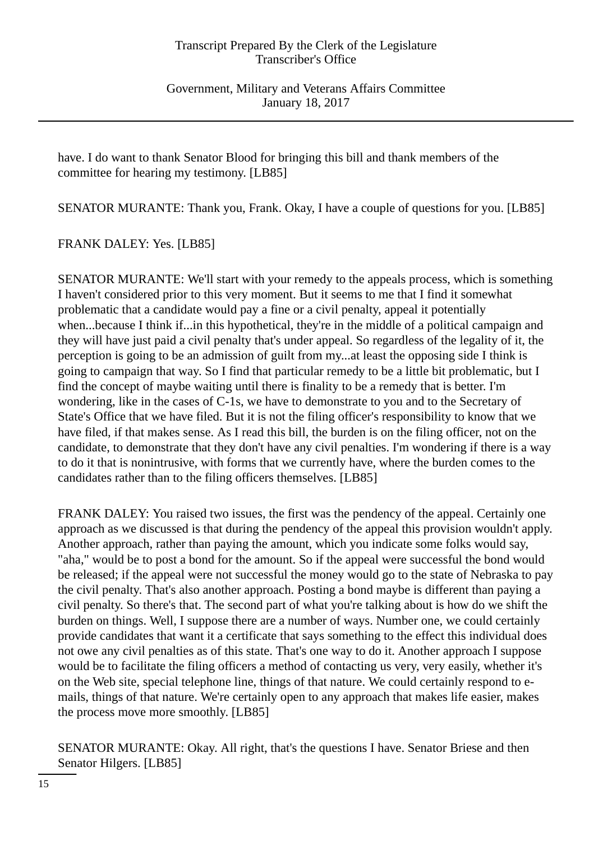Government, Military and Veterans Affairs Committee January 18, 2017

have. I do want to thank Senator Blood for bringing this bill and thank members of the committee for hearing my testimony. [LB85]

SENATOR MURANTE: Thank you, Frank. Okay, I have a couple of questions for you. [LB85]

FRANK DALEY: Yes. [LB85]

SENATOR MURANTE: We'll start with your remedy to the appeals process, which is something I haven't considered prior to this very moment. But it seems to me that I find it somewhat problematic that a candidate would pay a fine or a civil penalty, appeal it potentially when...because I think if...in this hypothetical, they're in the middle of a political campaign and they will have just paid a civil penalty that's under appeal. So regardless of the legality of it, the perception is going to be an admission of guilt from my...at least the opposing side I think is going to campaign that way. So I find that particular remedy to be a little bit problematic, but I find the concept of maybe waiting until there is finality to be a remedy that is better. I'm wondering, like in the cases of C-1s, we have to demonstrate to you and to the Secretary of State's Office that we have filed. But it is not the filing officer's responsibility to know that we have filed, if that makes sense. As I read this bill, the burden is on the filing officer, not on the candidate, to demonstrate that they don't have any civil penalties. I'm wondering if there is a way to do it that is nonintrusive, with forms that we currently have, where the burden comes to the candidates rather than to the filing officers themselves. [LB85]

FRANK DALEY: You raised two issues, the first was the pendency of the appeal. Certainly one approach as we discussed is that during the pendency of the appeal this provision wouldn't apply. Another approach, rather than paying the amount, which you indicate some folks would say, "aha," would be to post a bond for the amount. So if the appeal were successful the bond would be released; if the appeal were not successful the money would go to the state of Nebraska to pay the civil penalty. That's also another approach. Posting a bond maybe is different than paying a civil penalty. So there's that. The second part of what you're talking about is how do we shift the burden on things. Well, I suppose there are a number of ways. Number one, we could certainly provide candidates that want it a certificate that says something to the effect this individual does not owe any civil penalties as of this state. That's one way to do it. Another approach I suppose would be to facilitate the filing officers a method of contacting us very, very easily, whether it's on the Web site, special telephone line, things of that nature. We could certainly respond to emails, things of that nature. We're certainly open to any approach that makes life easier, makes the process move more smoothly. [LB85]

SENATOR MURANTE: Okay. All right, that's the questions I have. Senator Briese and then Senator Hilgers. [LB85]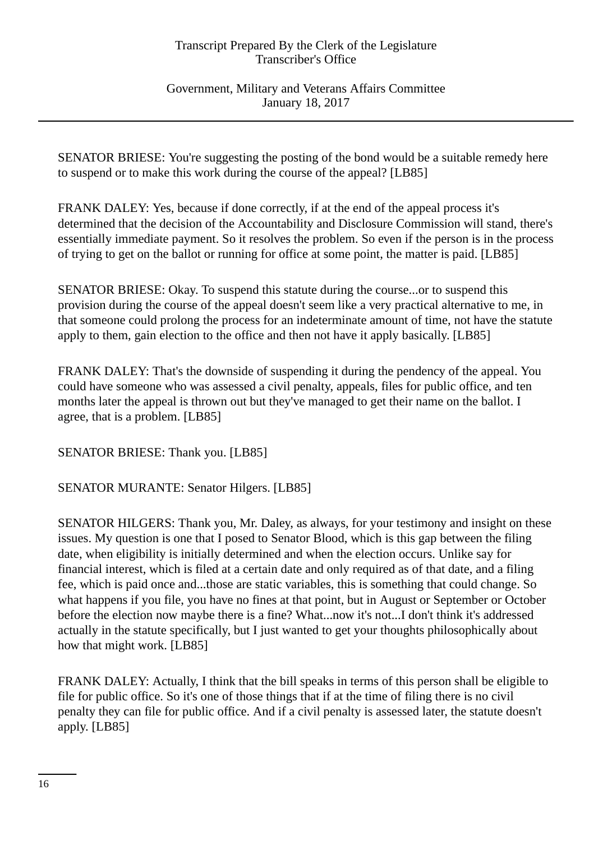Government, Military and Veterans Affairs Committee January 18, 2017

SENATOR BRIESE: You're suggesting the posting of the bond would be a suitable remedy here to suspend or to make this work during the course of the appeal? [LB85]

FRANK DALEY: Yes, because if done correctly, if at the end of the appeal process it's determined that the decision of the Accountability and Disclosure Commission will stand, there's essentially immediate payment. So it resolves the problem. So even if the person is in the process of trying to get on the ballot or running for office at some point, the matter is paid. [LB85]

SENATOR BRIESE: Okay. To suspend this statute during the course...or to suspend this provision during the course of the appeal doesn't seem like a very practical alternative to me, in that someone could prolong the process for an indeterminate amount of time, not have the statute apply to them, gain election to the office and then not have it apply basically. [LB85]

FRANK DALEY: That's the downside of suspending it during the pendency of the appeal. You could have someone who was assessed a civil penalty, appeals, files for public office, and ten months later the appeal is thrown out but they've managed to get their name on the ballot. I agree, that is a problem. [LB85]

SENATOR BRIESE: Thank you. [LB85]

SENATOR MURANTE: Senator Hilgers. [LB85]

SENATOR HILGERS: Thank you, Mr. Daley, as always, for your testimony and insight on these issues. My question is one that I posed to Senator Blood, which is this gap between the filing date, when eligibility is initially determined and when the election occurs. Unlike say for financial interest, which is filed at a certain date and only required as of that date, and a filing fee, which is paid once and...those are static variables, this is something that could change. So what happens if you file, you have no fines at that point, but in August or September or October before the election now maybe there is a fine? What...now it's not...I don't think it's addressed actually in the statute specifically, but I just wanted to get your thoughts philosophically about how that might work. [LB85]

FRANK DALEY: Actually, I think that the bill speaks in terms of this person shall be eligible to file for public office. So it's one of those things that if at the time of filing there is no civil penalty they can file for public office. And if a civil penalty is assessed later, the statute doesn't apply. [LB85]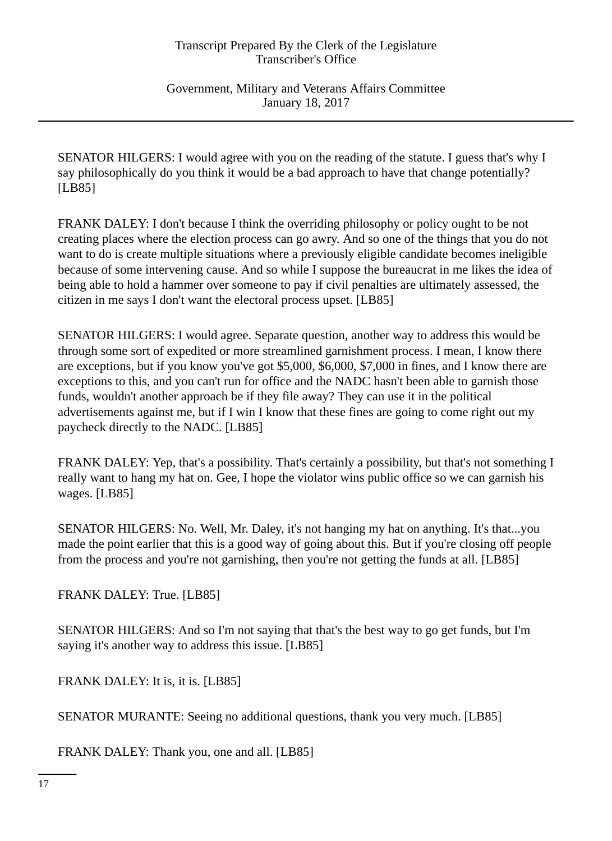Government, Military and Veterans Affairs Committee January 18, 2017

SENATOR HILGERS: I would agree with you on the reading of the statute. I guess that's why I say philosophically do you think it would be a bad approach to have that change potentially? [LB85]

FRANK DALEY: I don't because I think the overriding philosophy or policy ought to be not creating places where the election process can go awry. And so one of the things that you do not want to do is create multiple situations where a previously eligible candidate becomes ineligible because of some intervening cause. And so while I suppose the bureaucrat in me likes the idea of being able to hold a hammer over someone to pay if civil penalties are ultimately assessed, the citizen in me says I don't want the electoral process upset. [LB85]

SENATOR HILGERS: I would agree. Separate question, another way to address this would be through some sort of expedited or more streamlined garnishment process. I mean, I know there are exceptions, but if you know you've got \$5,000, \$6,000, \$7,000 in fines, and I know there are exceptions to this, and you can't run for office and the NADC hasn't been able to garnish those funds, wouldn't another approach be if they file away? They can use it in the political advertisements against me, but if I win I know that these fines are going to come right out my paycheck directly to the NADC. [LB85]

FRANK DALEY: Yep, that's a possibility. That's certainly a possibility, but that's not something I really want to hang my hat on. Gee, I hope the violator wins public office so we can garnish his wages. [LB85]

SENATOR HILGERS: No. Well, Mr. Daley, it's not hanging my hat on anything. It's that...you made the point earlier that this is a good way of going about this. But if you're closing off people from the process and you're not garnishing, then you're not getting the funds at all. [LB85]

FRANK DALEY: True. [LB85]

SENATOR HILGERS: And so I'm not saying that that's the best way to go get funds, but I'm saying it's another way to address this issue. [LB85]

FRANK DALEY: It is, it is. [LB85]

SENATOR MURANTE: Seeing no additional questions, thank you very much. [LB85]

FRANK DALEY: Thank you, one and all. [LB85]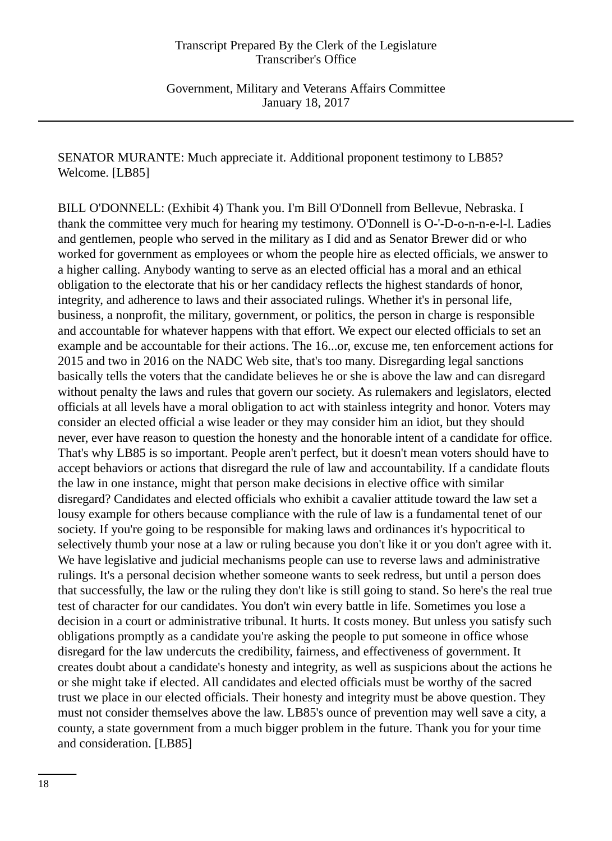Government, Military and Veterans Affairs Committee January 18, 2017

SENATOR MURANTE: Much appreciate it. Additional proponent testimony to LB85? Welcome. [LB85]

BILL O'DONNELL: (Exhibit 4) Thank you. I'm Bill O'Donnell from Bellevue, Nebraska. I thank the committee very much for hearing my testimony. O'Donnell is O-'-D-o-n-n-e-l-l. Ladies and gentlemen, people who served in the military as I did and as Senator Brewer did or who worked for government as employees or whom the people hire as elected officials, we answer to a higher calling. Anybody wanting to serve as an elected official has a moral and an ethical obligation to the electorate that his or her candidacy reflects the highest standards of honor, integrity, and adherence to laws and their associated rulings. Whether it's in personal life, business, a nonprofit, the military, government, or politics, the person in charge is responsible and accountable for whatever happens with that effort. We expect our elected officials to set an example and be accountable for their actions. The 16...or, excuse me, ten enforcement actions for 2015 and two in 2016 on the NADC Web site, that's too many. Disregarding legal sanctions basically tells the voters that the candidate believes he or she is above the law and can disregard without penalty the laws and rules that govern our society. As rulemakers and legislators, elected officials at all levels have a moral obligation to act with stainless integrity and honor. Voters may consider an elected official a wise leader or they may consider him an idiot, but they should never, ever have reason to question the honesty and the honorable intent of a candidate for office. That's why LB85 is so important. People aren't perfect, but it doesn't mean voters should have to accept behaviors or actions that disregard the rule of law and accountability. If a candidate flouts the law in one instance, might that person make decisions in elective office with similar disregard? Candidates and elected officials who exhibit a cavalier attitude toward the law set a lousy example for others because compliance with the rule of law is a fundamental tenet of our society. If you're going to be responsible for making laws and ordinances it's hypocritical to selectively thumb your nose at a law or ruling because you don't like it or you don't agree with it. We have legislative and judicial mechanisms people can use to reverse laws and administrative rulings. It's a personal decision whether someone wants to seek redress, but until a person does that successfully, the law or the ruling they don't like is still going to stand. So here's the real true test of character for our candidates. You don't win every battle in life. Sometimes you lose a decision in a court or administrative tribunal. It hurts. It costs money. But unless you satisfy such obligations promptly as a candidate you're asking the people to put someone in office whose disregard for the law undercuts the credibility, fairness, and effectiveness of government. It creates doubt about a candidate's honesty and integrity, as well as suspicions about the actions he or she might take if elected. All candidates and elected officials must be worthy of the sacred trust we place in our elected officials. Their honesty and integrity must be above question. They must not consider themselves above the law. LB85's ounce of prevention may well save a city, a county, a state government from a much bigger problem in the future. Thank you for your time and consideration. [LB85]